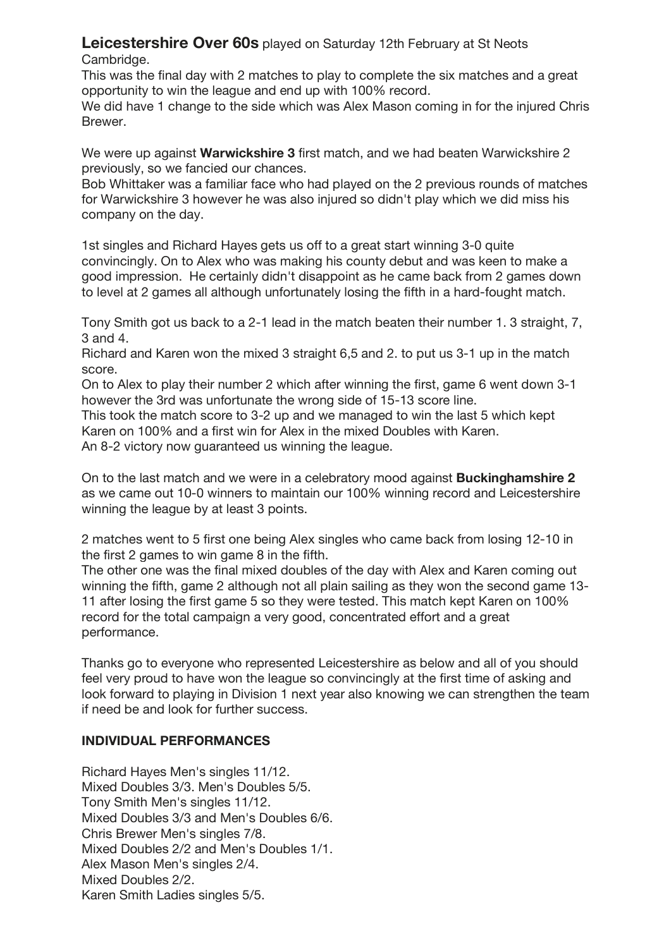**Leicestershire Over 60s** played on Saturday 12th February at St Neots Cambridge.

This was the final day with 2 matches to play to complete the six matches and a great opportunity to win the league and end up with 100% record.

We did have 1 change to the side which was Alex Mason coming in for the injured Chris Brewer.

We were up against **Warwickshire 3** first match, and we had beaten Warwickshire 2 previously, so we fancied our chances.

Bob Whittaker was a familiar face who had played on the 2 previous rounds of matches for Warwickshire 3 however he was also injured so didn't play which we did miss his company on the day.

1st singles and Richard Hayes gets us off to a great start winning 3-0 quite convincingly. On to Alex who was making his county debut and was keen to make a good impression. He certainly didn't disappoint as he came back from 2 games down to level at 2 games all although unfortunately losing the fifth in a hard-fought match.

Tony Smith got us back to a 2-1 lead in the match beaten their number 1. 3 straight, 7, 3 and 4.

Richard and Karen won the mixed 3 straight 6,5 and 2. to put us 3-1 up in the match score.

On to Alex to play their number 2 which after winning the first, game 6 went down 3-1 however the 3rd was unfortunate the wrong side of 15-13 score line.

This took the match score to 3-2 up and we managed to win the last 5 which kept Karen on 100% and a first win for Alex in the mixed Doubles with Karen. An 8-2 victory now guaranteed us winning the league.

On to the last match and we were in a celebratory mood against **Buckinghamshire 2** as we came out 10-0 winners to maintain our 100% winning record and Leicestershire winning the league by at least 3 points.

2 matches went to 5 first one being Alex singles who came back from losing 12-10 in the first 2 games to win game 8 in the fifth.

The other one was the final mixed doubles of the day with Alex and Karen coming out winning the fifth, game 2 although not all plain sailing as they won the second game 13-11 after losing the first game 5 so they were tested. This match kept Karen on 100% record for the total campaign a very good, concentrated effort and a great performance.

Thanks go to everyone who represented Leicestershire as below and all of you should feel very proud to have won the league so convincingly at the first time of asking and look forward to playing in Division 1 next year also knowing we can strengthen the team if need be and look for further success.

## **INDIVIDUAL PERFORMANCES**

Richard Hayes Men's singles 11/12. Mixed Doubles 3/3. Men's Doubles 5/5. Tony Smith Men's singles 11/12. Mixed Doubles 3/3 and Men's Doubles 6/6. Chris Brewer Men's singles 7/8. Mixed Doubles 2/2 and Men's Doubles 1/1. Alex Mason Men's singles 2/4. Mixed Doubles 2/2. Karen Smith Ladies singles 5/5.